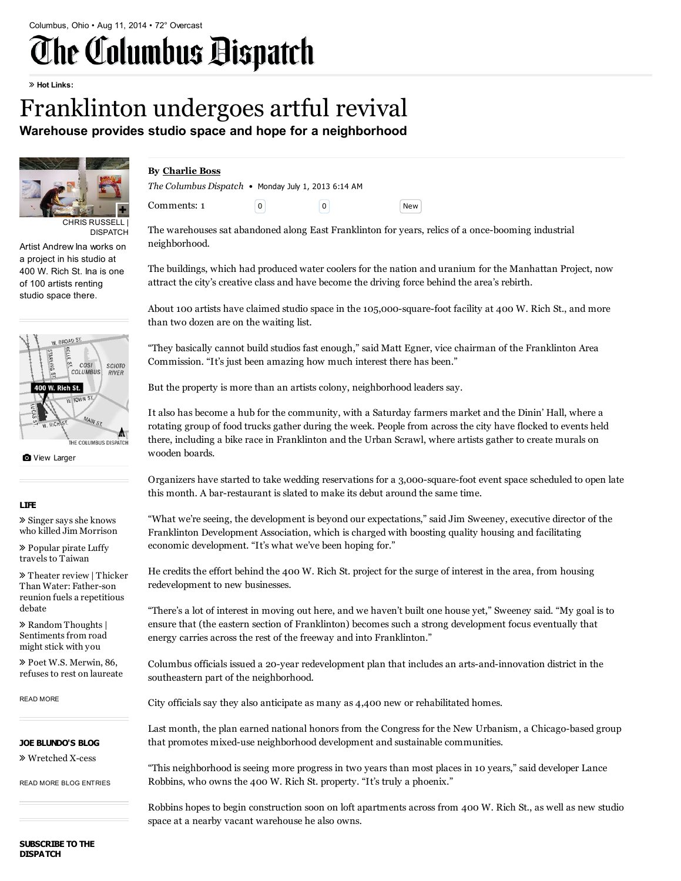# The Columbus Bispatch

#### Hot Links:

# Franklinton undergoes artful revival

Warehouse provides studio space and hope for a neighborhood



CHRIS RUSSELL | DISPATCH

Artist Andrew Ina works on a project in his studio at 400 W. Rich St. Ina is one of 100 artists renting studio space there.



**O** View [Larger](http://www.dispatch.com/content/graphics/2013/07/01/400-rich-art0-gtbnimod-10630gfx-400-rich-map-eps.jpg)

#### LIFE

 Singer says she knows who killed Jim [Morrison](http://www.dispatch.com/content/stories/life_and_entertainment/2014/08/11/jim-morrison.html)

 [Popular](http://www.dispatch.com/content/stories/life_and_entertainment/2014/08/11/popular-pirate-luffy-travels-to-taiwan.html) pirate Luffy travels to Taiwan

 Theater review | Thicker Than Water: [Father-son](http://www.dispatch.com/content/stories/life_and_entertainment/2014/08/11/father-son-reunion-fuels-a-repetitious-debate.html) reunion fuels a repetitious debate

 Random Thoughts | [Sentiments](http://www.dispatch.com/content/stories/life_and_entertainment/2014/08/11/sentiments-from-road-might-stick-with-you.html) from road might stick with you

 Poet W.S. [Merwin,](http://www.dispatch.com/content/stories/life_and_entertainment/2014/08/11/poet-86-refuses-to-rest-on-laureate.html) 86, refuses to rest on laureate

READ [MORE](http://www.dispatch.com/content/sections/life-and-entertainment/index.html)

#### [Wretched](http://www.dispatch.com/content/blogs/regular-joe/2014/06/wretched-x-cess.html) X-cess JOE BLUNDO'S BLOG

READ MORE BLOG [ENTRIES](http://www.dispatch.com/content/blogs/regular-joe/index.html)

## By [Charlie](mailto:cboss@dispatch.com) Boss

| The Columbus Dispatch • Monday July 1, 2013 6:14 AM |          |            |
|-----------------------------------------------------|----------|------------|
| Comments: 1                                         | $\Omega$ | <b>New</b> |

The warehouses sat abandoned along East Franklinton for years, relics of a once-booming industrial neighborhood.

The buildings, which had produced water coolers for the nation and uranium for the Manhattan Project, now attract the city's creative class and have become the driving force behind the area's rebirth.

About 100 artists have claimed studio space in the 105,000-square-foot facility at 400 W. Rich St., and more than two dozen are on the waiting list.

"They basically cannot build studios fast enough," said Matt Egner, vice chairman of the Franklinton Area Commission. "It's just been amazing how much interest there has been."

But the property is more than an artists colony, neighborhood leaders say.

It also has become a hub for the community, with a Saturday farmers market and the Dinin' Hall, where a rotating group of food trucks gather during the week. People from across the city have flocked to events held there, including a bike race in Franklinton and the Urban Scrawl, where artists gather to create murals on wooden boards.

Organizers have started to take wedding reservations for a 3,000-square-foot event space scheduled to open late this month. A bar-restaurant is slated to make its debut around the same time.

"What we're seeing, the development is beyond our expectations," said Jim Sweeney, executive director of the Franklinton Development Association, which is charged with boosting quality housing and facilitating economic development. "It's what we've been hoping for."

He credits the effort behind the 400 W. Rich St. project for the surge of interest in the area, from housing redevelopment to new businesses.

"There's a lot of interest in moving out here, and we haven't built one house yet," Sweeney said. "My goal is to ensure that (the eastern section of Franklinton) becomes such a strong development focus eventually that energy carries across the rest of the freeway and into Franklinton."

Columbus officials issued a 20-year redevelopment plan that includes an arts-and-innovation district in the southeastern part of the neighborhood.

City officials say they also anticipate as many as 4,400 new or rehabilitated homes.

Last month, the plan earned national honors from the Congress for the New Urbanism, a Chicago-based group that promotes mixed-use neighborhood development and sustainable communities.

"This neighborhood is seeing more progress in two years than most places in 10 years," said developer Lance Robbins, who owns the 400 W. Rich St. property. "It's truly a phoenix."

Robbins hopes to begin construction soon on loft apartments across from 400 W. Rich St., as well as new studio space at a nearby vacant warehouse he also owns.